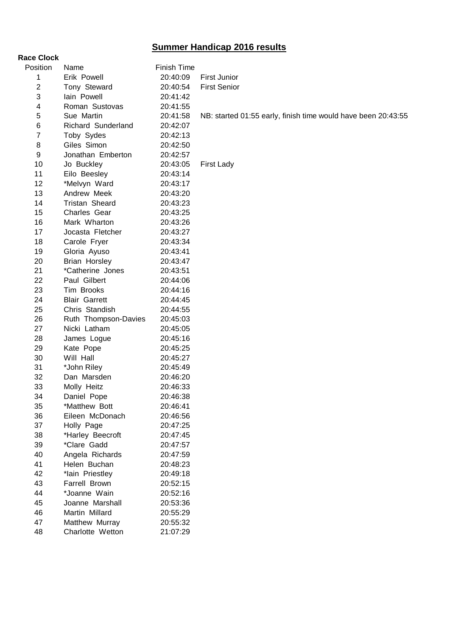## **Summer Handicap 2016 results**

**Race Clock**

| Position       | Name                 | <b>Finish Time</b> |                                                               |
|----------------|----------------------|--------------------|---------------------------------------------------------------|
| 1              | Erik Powell          | 20:40:09           | <b>First Junior</b>                                           |
| 2              | Tony Steward         | 20:40:54           | <b>First Senior</b>                                           |
| 3              | lain Powell          | 20:41:42           |                                                               |
| 4              | Roman Sustovas       | 20:41:55           |                                                               |
| 5              | Sue Martin           | 20:41:58           | NB: started 01:55 early, finish time would have been 20:43:55 |
| 6              | Richard Sunderland   | 20:42:07           |                                                               |
| $\overline{7}$ | Toby Sydes           | 20:42:13           |                                                               |
| 8              | Giles Simon          | 20:42:50           |                                                               |
| 9              | Jonathan Emberton    | 20:42:57           |                                                               |
| 10             | Jo Buckley           | 20:43:05           | <b>First Lady</b>                                             |
| 11             | Eilo Beesley         | 20:43:14           |                                                               |
| 12             | *Melvyn Ward         | 20:43:17           |                                                               |
| 13             | Andrew Meek          | 20:43:20           |                                                               |
| 14             | Tristan Sheard       | 20:43:23           |                                                               |
| 15             | Charles Gear         | 20:43:25           |                                                               |
| 16             | Mark Wharton         | 20:43:26           |                                                               |
| 17             | Jocasta Fletcher     | 20:43:27           |                                                               |
| 18             | Carole Fryer         | 20:43:34           |                                                               |
| 19             | Gloria Ayuso         | 20:43:41           |                                                               |
| 20             | <b>Brian Horsley</b> | 20:43:47           |                                                               |
| 21             | *Catherine Jones     | 20:43:51           |                                                               |
| 22             | Paul Gilbert         | 20:44:06           |                                                               |
| 23             | Tim Brooks           | 20:44:16           |                                                               |
| 24             | <b>Blair Garrett</b> | 20:44:45           |                                                               |
| 25             | Chris Standish       | 20:44:55           |                                                               |
| 26             | Ruth Thompson-Davies | 20:45:03           |                                                               |
| 27             | Nicki Latham         | 20:45:05           |                                                               |
| 28             | James Logue          | 20:45:16           |                                                               |
| 29             | Kate Pope            | 20:45:25           |                                                               |
| 30             | Will Hall            | 20:45:27           |                                                               |
| 31             | *John Riley          | 20:45:49           |                                                               |
| 32             | Dan Marsden          | 20:46:20           |                                                               |
| 33             | Molly Heitz          | 20:46:33           |                                                               |
| 34             | Daniel Pope          | 20:46:38           |                                                               |
| 35             | *Matthew Bott        | 20:46:41           |                                                               |
| 36             | Eileen McDonach      | 20:46:56           |                                                               |
| 37             | Holly Page           | 20:47:25           |                                                               |
| 38             | *Harley Beecroft     | 20:47:45           |                                                               |
| 39             | *Clare Gadd          | 20:47:57           |                                                               |
| 40             | Angela Richards      | 20:47:59           |                                                               |
| 41             | Helen Buchan         | 20:48:23           |                                                               |
| 42             | *lain Priestley      | 20:49:18           |                                                               |
| 43             | Farrell Brown        | 20:52:15           |                                                               |
| 44             | *Joanne Wain         | 20:52:16           |                                                               |
| 45             | Joanne Marshall      | 20:53:36           |                                                               |
| 46             | Martin Millard       | 20:55:29           |                                                               |
| 47             | Matthew Murray       | 20:55:32           |                                                               |
| 48             | Charlotte Wetton     | 21:07:29           |                                                               |